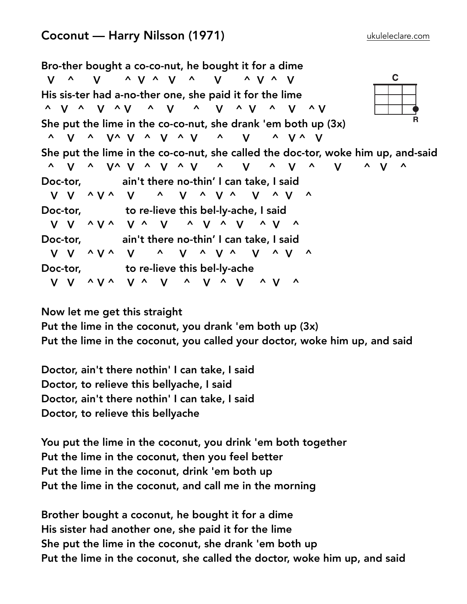Bro-ther bought a co-co-nut, he bought it for a dime C V ^ V ^ V ^ V ^ V ^ V ^ V His sis-ter had a-no-ther one, she paid it for the lime ^ V ^ V ^ V ^ V ^ V ^ V ^ V ^ V She put the lime in the co-co-nut, she drank 'em both up (3x) ^ V ^ V^ V ^ V ^ V ^ V ^ V ^ V Y V She put the lime in the co-co-nut, she called the doc-tor, woke him up, and-said ^ V ^ V^ V ^ V ^ V ^ V ^ V ^ V ^ V ^ Doc-tor, ain't there no-thin' I can take, I said V V ^ V ^ V ^ V ^ V ^ V ^ V ^ Doc-tor, to re-lieve this bel-ly-ache, I said V V ^ V ^ V ^ V ^ V ^ V ^ V ^ Doc-tor, ain't there no-thin' I can take, I said V V ^ V ^ V ^ V ^ V ^ V ^ V ^ Doc-tor, to re-lieve this bel-ly-ache V V ^ V ^ V ^ V ^ V ^ V ^ V ^

Now let me get this straight

Put the lime in the coconut, you drank 'em both up (3x) Put the lime in the coconut, you called your doctor, woke him up, and said

Doctor, ain't there nothin' I can take, I said Doctor, to relieve this bellyache, I said Doctor, ain't there nothin' I can take, I said Doctor, to relieve this bellyache

You put the lime in the coconut, you drink 'em both together Put the lime in the coconut, then you feel better Put the lime in the coconut, drink 'em both up Put the lime in the coconut, and call me in the morning

Brother bought a coconut, he bought it for a dime His sister had another one, she paid it for the lime She put the lime in the coconut, she drank 'em both up Put the lime in the coconut, she called the doctor, woke him up, and said